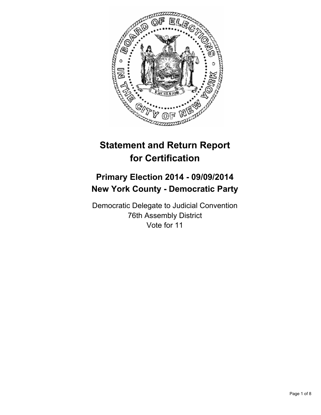

# **Statement and Return Report for Certification**

## **Primary Election 2014 - 09/09/2014 New York County - Democratic Party**

Democratic Delegate to Judicial Convention 76th Assembly District Vote for 11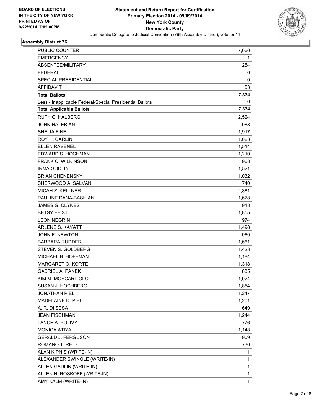

## **Assembly District 76**

| PUBLIC COUNTER                                           | 7,066        |
|----------------------------------------------------------|--------------|
| <b>EMERGENCY</b>                                         | 1            |
| ABSENTEE/MILITARY                                        | 254          |
| <b>FEDERAL</b>                                           | 0            |
| SPECIAL PRESIDENTIAL                                     | $\mathbf 0$  |
| <b>AFFIDAVIT</b>                                         | 53           |
| <b>Total Ballots</b>                                     | 7,374        |
| Less - Inapplicable Federal/Special Presidential Ballots | 0            |
| <b>Total Applicable Ballots</b>                          | 7,374        |
| <b>RUTH C. HALBERG</b>                                   | 2,524        |
| <b>JOHN HALEBIAN</b>                                     | 988          |
| <b>SHELIA FINE</b>                                       | 1,917        |
| ROY H. CARLIN                                            | 1,023        |
| <b>ELLEN RAVENEL</b>                                     | 1,514        |
| EDWARD S. HOCHMAN                                        | 1,210        |
| <b>FRANK C. WILKINSON</b>                                | 968          |
| <b>IRMA GODLIN</b>                                       | 1,521        |
| <b>BRIAN CHENENSKY</b>                                   | 1,032        |
| SHERWOOD A. SALVAN                                       | 740          |
| <b>MICAH Z. KELLNER</b>                                  | 2,381        |
| PAULINE DANA-BASHIAN                                     | 1,678        |
| <b>JAMES G. CLYNES</b>                                   | 918          |
| <b>BETSY FEIST</b>                                       | 1,855        |
| <b>LEON NEGRIN</b>                                       | 974          |
| ARLENE S. KAYATT                                         | 1,498        |
| JOHN F. NEWTON                                           | 960          |
| <b>BARBARA RUDDER</b>                                    | 1,661        |
| STEVEN S. GOLDBERG                                       | 1,423        |
| MICHAEL B. HOFFMAN                                       | 1,184        |
| MARGARET O. KORTE                                        | 1,318        |
| <b>GABRIEL A. PANEK</b>                                  | 835          |
| KIM M. MOSCARITOLO                                       | 1,024        |
| SUSAN J. HOCHBERG                                        | 1,854        |
| <b>JONATHAN PIEL</b>                                     | 1,247        |
| MADELAINE D. PIEL                                        | 1,201        |
| A. R. DI SESA                                            | 649          |
| <b>JEAN FISCHMAN</b>                                     | 1,244        |
| LANCE A. POLIVY                                          | 776          |
| <b>MONICA ATIYA</b>                                      | 1,148        |
| <b>GERALD J. FERGUSON</b>                                | 909          |
| ROMANO T. REID                                           | 730          |
| ALAN KIPNIS (WRITE-IN)                                   | 1            |
| ALEXANDER SWINGLE (WRITE-IN)                             | 1            |
| ALLEN GADLIN (WRITE-IN)                                  | $\mathbf{1}$ |
| ALLEN N. ROSKOFF (WRITE-IN)                              | $\mathbf{1}$ |
| AMY KALM (WRITE-IN)                                      | 1            |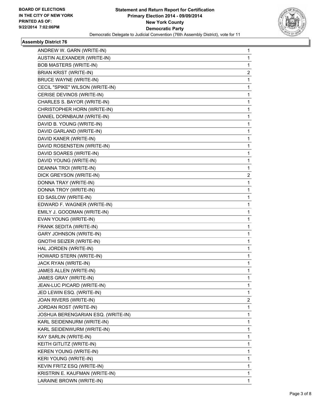

## **Assembly District 76**

| ANDREW W. GARN (WRITE-IN)          | 1            |
|------------------------------------|--------------|
| AUSTIN ALEXANDER (WRITE-IN)        | 1            |
| <b>BOB MASTERS (WRITE-IN)</b>      | 1            |
| BRIAN KRIST (WRITE-IN)             | 2            |
| <b>BRUCE WAYNE (WRITE-IN)</b>      | 1            |
| CECIL "SPIKE" WILSON (WRITE-IN)    | 1            |
| CERISE DEVINOS (WRITE-IN)          | 1            |
| CHARLES S. BAYOR (WRITE-IN)        | 1            |
| CHRISTOPHER HORN (WRITE-IN)        | 1            |
| DANIEL DORNBAUM (WRITE-IN)         | 1            |
| DAVID B. YOUNG (WRITE-IN)          | 1            |
| DAVID GARLAND (WRITE-IN)           | 1            |
| DAVID KANER (WRITE-IN)             | 1            |
| DAVID ROSENSTEIN (WRITE-IN)        | 1            |
| DAVID SOARES (WRITE-IN)            | 1            |
| DAVID YOUNG (WRITE-IN)             | 1            |
| DEANNA TROI (WRITE-IN)             | 1            |
| DICK GREYSON (WRITE-IN)            | 2            |
| DONNA TRAY (WRITE-IN)              | 1            |
| DONNA TROY (WRITE-IN)              | 1            |
| ED SASLOW (WRITE-IN)               | 1            |
| EDWARD F. WAGNER (WRITE-IN)        | 1            |
| EMILY J. GOODMAN (WRITE-IN)        | 1            |
| EVAN YOUNG (WRITE-IN)              | 1            |
| FRANK SEDITA (WRITE-IN)            | 1            |
| <b>GARY JOHNSON (WRITE-IN)</b>     | 1            |
| <b>GNOTHI SEIZER (WRITE-IN)</b>    | 1            |
| HAL JORDEN (WRITE-IN)              | 1            |
| HOWARD STERN (WRITE-IN)            | 1            |
| JACK RYAN (WRITE-IN)               | 1            |
| JAMES ALLEN (WRITE-IN)             | 1            |
| JAMES GRAY (WRITE-IN)              | $\mathbf{1}$ |
| JEAN-LUC PICARD (WRITE-IN)         | 1            |
| JED LEWIN ESQ. (WRITE-IN)          | 1            |
| JOAN RIVERS (WRITE-IN)             | 2            |
| JORDAN ROST (WRITE-IN)             | 1            |
| JOSHUA BERENGARIAN ESQ. (WRITE-IN) | 1            |
| KARL SEIDENNURM (WRITE-IN)         | 1            |
| KARL SEIDENWURM (WRITE-IN)         | 1            |
| KAY SARLIN (WRITE-IN)              | 1            |
| KEITH GITLITZ (WRITE-IN)           | 1            |
| KEREN YOUNG (WRITE-IN)             | 1            |
| KERI YOUNG (WRITE-IN)              | 1            |
| KEVIN FRITZ ESQ (WRITE-IN)         | 1            |
| KRISTRIN E. KAUFMAN (WRITE-IN)     | 1            |
| LARAINE BROWN (WRITE-IN)           | 1            |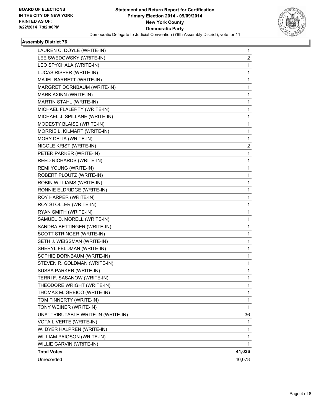

## **Assembly District 76**

| LAUREN C. DOYLE (WRITE-IN)         | 1      |
|------------------------------------|--------|
| LEE SWEDOWSKY (WRITE-IN)           | 2      |
| LEO SPYCHALA (WRITE-IN)            | 1      |
| LUCAS RISPER (WRITE-IN)            | 1      |
| MAJEL BARRETT (WRITE-IN)           | 1      |
| MARGRET DORNBAUM (WRITE-IN)        | 1      |
| MARK AXINN (WRITE-IN)              | 1      |
| MARTIN STAHL (WRITE-IN)            | 1      |
| MICHAEL FLALERTY (WRITE-IN)        | 1      |
| MICHAEL J. SPILLANE (WRITE-IN)     | 1      |
| MODESTY BLAISE (WRITE-IN)          | 1      |
| MORRIE L. KILMART (WRITE-IN)       | 1      |
| MORY DELIA (WRITE-IN)              | 1      |
| NICOLE KRIST (WRITE-IN)            | 2      |
| PETER PARKER (WRITE-IN)            | 1      |
| REED RICHARDS (WRITE-IN)           | 1      |
| REMI YOUNG (WRITE-IN)              | 1      |
| ROBERT PLOUTZ (WRITE-IN)           | 1      |
| ROBIN WILLIAMS (WRITE-IN)          | 1      |
| RONNIE ELDRIDGE (WRITE-IN)         | 1      |
| ROY HARPER (WRITE-IN)              | 1      |
| ROY STOLLER (WRITE-IN)             | 1      |
| RYAN SMITH (WRITE-IN)              | 1      |
| SAMUEL D. MORELL (WRITE-IN)        | 1      |
| SANDRA BETTINGER (WRITE-IN)        | 1      |
| SCOTT STRINGER (WRITE-IN)          | 1      |
| SETH J. WEISSMAN (WRITE-IN)        | 1      |
| SHERYL FELDMAN (WRITE-IN)          | 1      |
| SOPHIE DORNBAUM (WRITE-IN)         | 1      |
| STEVEN R. GOLDMAN (WRITE-IN)       | 1      |
| SUSSA PARKER (WRITE-IN)            | 1      |
| TERRI F. SASANOW (WRITE-IN)        | 1      |
| THEODORE WRIGHT (WRITE-IN)         | 1      |
| THOMAS M. GREICO (WRITE-IN)        | 1      |
| TOM FINNERTY (WRITE-IN)            | 1      |
| TONY WEINER (WRITE-IN)             | 1      |
| UNATTRIBUTABLE WRITE-IN (WRITE-IN) | 36     |
| VOTA LIVERTE (WRITE-IN)            | 1      |
| W. DYER HALPREN (WRITE-IN)         | 1      |
| WILLIAM PAIOSON (WRITE-IN)         | 1      |
| WILLIE GARVIN (WRITE-IN)           | 1.     |
| <b>Total Votes</b>                 | 41,036 |
| Unrecorded                         | 40,078 |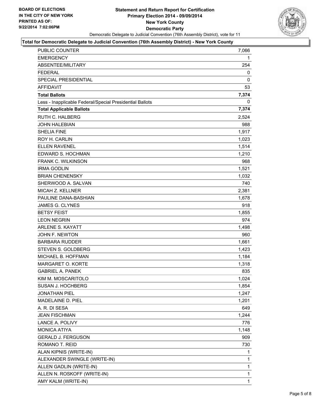

#### **Total for Democratic Delegate to Judicial Convention (76th Assembly District) - New York County**

| PUBLIC COUNTER                                           | 7,066 |
|----------------------------------------------------------|-------|
| <b>EMERGENCY</b>                                         | 1     |
| ABSENTEE/MILITARY                                        | 254   |
| <b>FEDERAL</b>                                           | 0     |
| <b>SPECIAL PRESIDENTIAL</b>                              | 0     |
| <b>AFFIDAVIT</b>                                         | 53    |
| <b>Total Ballots</b>                                     | 7,374 |
| Less - Inapplicable Federal/Special Presidential Ballots | 0     |
| <b>Total Applicable Ballots</b>                          | 7,374 |
| <b>RUTH C. HALBERG</b>                                   | 2.524 |
| <b>JOHN HALEBIAN</b>                                     | 988   |
| <b>SHELIA FINE</b>                                       | 1,917 |
| ROY H. CARLIN                                            | 1,023 |
| <b>ELLEN RAVENEL</b>                                     | 1,514 |
| EDWARD S. HOCHMAN                                        | 1,210 |
| FRANK C. WILKINSON                                       | 968   |
| <b>IRMA GODLIN</b>                                       | 1,521 |
| <b>BRIAN CHENENSKY</b>                                   | 1,032 |
| SHERWOOD A. SALVAN                                       | 740   |
| <b>MICAH Z. KELLNER</b>                                  | 2,381 |
| PAULINE DANA-BASHIAN                                     | 1,678 |
| JAMES G. CLYNES                                          | 918   |
| <b>BETSY FEIST</b>                                       | 1,855 |
| <b>LEON NEGRIN</b>                                       | 974   |
| ARLENE S. KAYATT                                         | 1,498 |
| JOHN F. NEWTON                                           | 960   |
| <b>BARBARA RUDDER</b>                                    | 1,661 |
| STEVEN S. GOLDBERG                                       | 1,423 |
| MICHAEL B. HOFFMAN                                       | 1,184 |
| MARGARET O. KORTE                                        | 1,318 |
| <b>GABRIEL A. PANEK</b>                                  | 835   |
| KIM M. MOSCARITOLO                                       | 1,024 |
| SUSAN J. HOCHBERG                                        | 1,854 |
| <b>JONATHAN PIEL</b>                                     | 1,247 |
| MADELAINE D. PIEL                                        | 1,201 |
| A. R. DI SESA                                            | 649   |
| <b>JEAN FISCHMAN</b>                                     | 1,244 |
| LANCE A. POLIVY                                          | 776   |
| <b>MONICA ATIYA</b>                                      | 1,148 |
| <b>GERALD J. FERGUSON</b>                                | 909   |
| ROMANO T. REID                                           | 730   |
| ALAN KIPNIS (WRITE-IN)                                   | 1     |
| ALEXANDER SWINGLE (WRITE-IN)                             | 1     |
| ALLEN GADLIN (WRITE-IN)                                  | 1     |
| ALLEN N. ROSKOFF (WRITE-IN)                              | 1     |
| AMY KALM (WRITE-IN)                                      | 1     |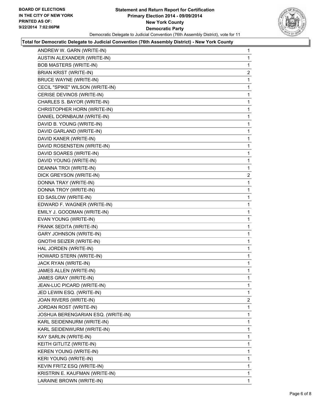

### **Total for Democratic Delegate to Judicial Convention (76th Assembly District) - New York County**

| ANDREW W. GARN (WRITE-IN)          | 1            |
|------------------------------------|--------------|
| AUSTIN ALEXANDER (WRITE-IN)        | 1            |
| <b>BOB MASTERS (WRITE-IN)</b>      | 1            |
| BRIAN KRIST (WRITE-IN)             | 2            |
| <b>BRUCE WAYNE (WRITE-IN)</b>      | 1            |
| CECIL "SPIKE" WILSON (WRITE-IN)    | 1            |
| CERISE DEVINOS (WRITE-IN)          | 1            |
| CHARLES S. BAYOR (WRITE-IN)        | 1            |
| CHRISTOPHER HORN (WRITE-IN)        | 1            |
| DANIEL DORNBAUM (WRITE-IN)         | 1            |
| DAVID B. YOUNG (WRITE-IN)          | 1            |
| DAVID GARLAND (WRITE-IN)           | 1            |
| DAVID KANER (WRITE-IN)             | 1            |
| DAVID ROSENSTEIN (WRITE-IN)        | 1            |
| DAVID SOARES (WRITE-IN)            | 1            |
| DAVID YOUNG (WRITE-IN)             | 1            |
| DEANNA TROI (WRITE-IN)             | 1            |
| DICK GREYSON (WRITE-IN)            | 2            |
| DONNA TRAY (WRITE-IN)              | 1            |
| DONNA TROY (WRITE-IN)              | 1            |
| ED SASLOW (WRITE-IN)               | 1            |
| EDWARD F. WAGNER (WRITE-IN)        | 1            |
| EMILY J. GOODMAN (WRITE-IN)        | 1            |
| EVAN YOUNG (WRITE-IN)              | 1            |
| FRANK SEDITA (WRITE-IN)            | 1            |
| <b>GARY JOHNSON (WRITE-IN)</b>     | 1            |
| <b>GNOTHI SEIZER (WRITE-IN)</b>    | 1            |
| HAL JORDEN (WRITE-IN)              | 1            |
| HOWARD STERN (WRITE-IN)            | 1            |
| JACK RYAN (WRITE-IN)               | 1            |
| JAMES ALLEN (WRITE-IN)             | 1            |
| JAMES GRAY (WRITE-IN)              | 1            |
| JEAN-LUC PICARD (WRITE-IN)         | 1            |
| JED LEWIN ESQ. (WRITE-IN)          | $\mathbf{1}$ |
| JOAN RIVERS (WRITE-IN)             | 2            |
| JORDAN ROST (WRITE-IN)             | 1            |
| JOSHUA BERENGARIAN ESQ. (WRITE-IN) | 1            |
| KARL SEIDENNURM (WRITE-IN)         | 1            |
| KARL SEIDENWURM (WRITE-IN)         | 1            |
| KAY SARLIN (WRITE-IN)              | 1            |
| KEITH GITLITZ (WRITE-IN)           | 1            |
| KEREN YOUNG (WRITE-IN)             | 1            |
| KERI YOUNG (WRITE-IN)              | 1            |
| KEVIN FRITZ ESQ (WRITE-IN)         | 1            |
| KRISTRIN E. KAUFMAN (WRITE-IN)     | 1            |
| LARAINE BROWN (WRITE-IN)           | $\mathbf 1$  |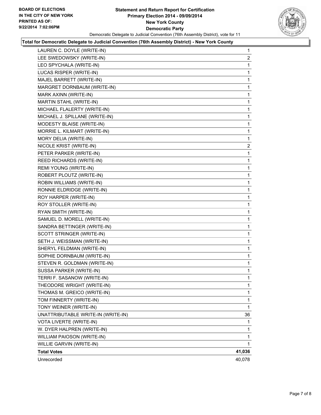

### **Total for Democratic Delegate to Judicial Convention (76th Assembly District) - New York County**

| LAUREN C. DOYLE (WRITE-IN)         | 1              |
|------------------------------------|----------------|
| LEE SWEDOWSKY (WRITE-IN)           | $\overline{2}$ |
| LEO SPYCHALA (WRITE-IN)            | 1              |
| LUCAS RISPER (WRITE-IN)            | 1              |
| MAJEL BARRETT (WRITE-IN)           | 1              |
| MARGRET DORNBAUM (WRITE-IN)        | 1              |
| MARK AXINN (WRITE-IN)              | 1              |
| MARTIN STAHL (WRITE-IN)            | 1              |
| MICHAEL FLALERTY (WRITE-IN)        | 1              |
| MICHAEL J. SPILLANE (WRITE-IN)     | 1              |
| MODESTY BLAISE (WRITE-IN)          | 1              |
| MORRIE L. KILMART (WRITE-IN)       | 1              |
| MORY DELIA (WRITE-IN)              | 1              |
| NICOLE KRIST (WRITE-IN)            | 2              |
| PETER PARKER (WRITE-IN)            | 1              |
| REED RICHARDS (WRITE-IN)           | 1              |
| REMI YOUNG (WRITE-IN)              | 1              |
| ROBERT PLOUTZ (WRITE-IN)           | 1              |
| ROBIN WILLIAMS (WRITE-IN)          | 1              |
| RONNIE ELDRIDGE (WRITE-IN)         | 1              |
| ROY HARPER (WRITE-IN)              | 1              |
| ROY STOLLER (WRITE-IN)             | 1              |
| RYAN SMITH (WRITE-IN)              | 1              |
| SAMUEL D. MORELL (WRITE-IN)        | 1              |
| SANDRA BETTINGER (WRITE-IN)        | 1              |
| SCOTT STRINGER (WRITE-IN)          | 1              |
| SETH J. WEISSMAN (WRITE-IN)        | 1              |
| SHERYL FELDMAN (WRITE-IN)          | 1              |
| SOPHIE DORNBAUM (WRITE-IN)         | 1              |
| STEVEN R. GOLDMAN (WRITE-IN)       | 1              |
| SUSSA PARKER (WRITE-IN)            | 1              |
| TERRI F. SASANOW (WRITE-IN)        | 1              |
| THEODORE WRIGHT (WRITE-IN)         | 1              |
| THOMAS M. GREICO (WRITE-IN)        | 1              |
| TOM FINNERTY (WRITE-IN)            | 1              |
| TONY WEINER (WRITE-IN)             | 1              |
| UNATTRIBUTABLE WRITE-IN (WRITE-IN) | 36             |
| VOTA LIVERTE (WRITE-IN)            | 1              |
| W. DYER HALPREN (WRITE-IN)         | 1              |
| WILLIAM PAIOSON (WRITE-IN)         | 1              |
| WILLIE GARVIN (WRITE-IN)           | 1              |
| <b>Total Votes</b>                 | 41,036         |
| Unrecorded                         | 40,078         |